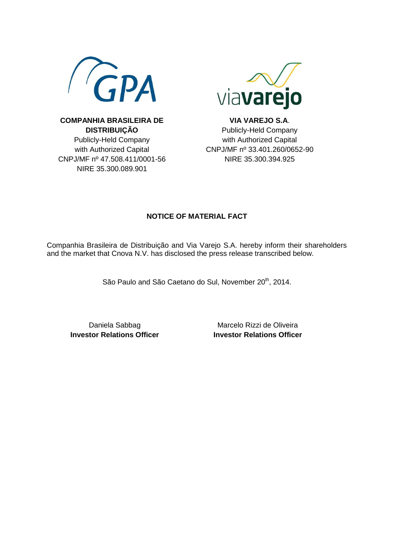



**COMPANHIA BRASILEIRA DE DISTRIBUIÇÃO** Publicly-Held Company with Authorized Capital CNPJ/MF nº 47.508.411/0001-56 NIRE 35.300.089.901

**VIA VAREJO S.A**. Publicly-Held Company with Authorized Capital CNPJ/MF nº 33.401.260/0652-90 NIRE 35.300.394.925

## **NOTICE OF MATERIAL FACT**

Companhia Brasileira de Distribuição and Via Varejo S.A. hereby inform their shareholders and the market that Cnova N.V. has disclosed the press release transcribed below.

São Paulo and São Caetano do Sul, November 20<sup>th</sup>, 2014.

Daniela Sabbag **Investor Relations Officer**

Marcelo Rizzi de Oliveira **Investor Relations Officer**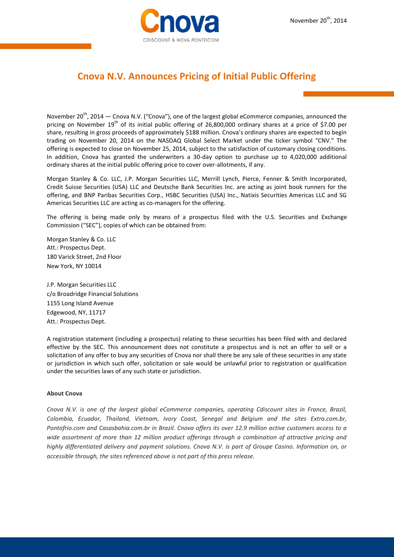

## **Cnova N.V. Announces Pricing of Initial Public Offering**

November 20<sup>th</sup>, 2014 — Cnova N.V. ("Cnova"), one of the largest global eCommerce companies, announced the pricing on November 19<sup>th</sup> of its initial public offering of 26,800,000 ordinary shares at a price of \$7.00 per share, resulting in gross proceeds of approximately \$188 million. Cnova's ordinary shares are expected to begin trading on November 20, 2014 on the NASDAQ Global Select Market under the ticker symbol "CNV." The offering is expected to close on November 25, 2014, subject to the satisfaction of customary closing conditions. In addition, Cnova has granted the underwriters a 30-day option to purchase up to 4,020,000 additional ordinary shares at the initial public offering price to cover over-allotments, if any.

Morgan Stanley & Co. LLC, J.P. Morgan Securities LLC, Merrill Lynch, Pierce, Fenner & Smith Incorporated, Credit Suisse Securities (USA) LLC and Deutsche Bank Securities Inc. are acting as joint book runners for the offering, and BNP Paribas Securities Corp., HSBC Securities (USA) Inc., Natixis Securities Americas LLC and SG Americas Securities LLC are acting as co-managers for the offering.

The offering is being made only by means of a prospectus filed with the U.S. Securities and Exchange Commission ("SEC"), copies of which can be obtained from:

Morgan Stanley & Co. LLC Att.: Prospectus Dept. 180 Varick Street, 2nd Floor New York, NY 10014

J.P. Morgan Securities LLC c/o Broadridge Financial Solutions 1155 Long Island Avenue Edgewood, NY, 11717 Att.: Prospectus Dept.

A registration statement (including a prospectus) relating to these securities has been filed with and declared effective by the SEC. This announcement does not constitute a prospectus and is not an offer to sell or a solicitation of any offer to buy any securities of Cnova nor shall there be any sale of these securities in any state or jurisdiction in which such offer, solicitation or sale would be unlawful prior to registration or qualification under the securities laws of any such state or jurisdiction.

## **About Cnova**

*Cnova N.V. is one of the largest global eCommerce companies, operating Cdiscount sites in France, Brazil, Colombia, Ecuador, Thailand, Vietnam, Ivory Coast, Senegal and Belgium and the sites Extra.com.br, Pontofrio.com and Casasbahia.com.br in Brazil. Cnova offers its over 12.9 million active customers access to a wide assortment of more than 12 million product offerings through a combination of attractive pricing and highly differentiated delivery and payment solutions. Cnova N.V. is part of Groupe Casino. Information on, or accessible through, the sites referenced above is not part of this press release.*